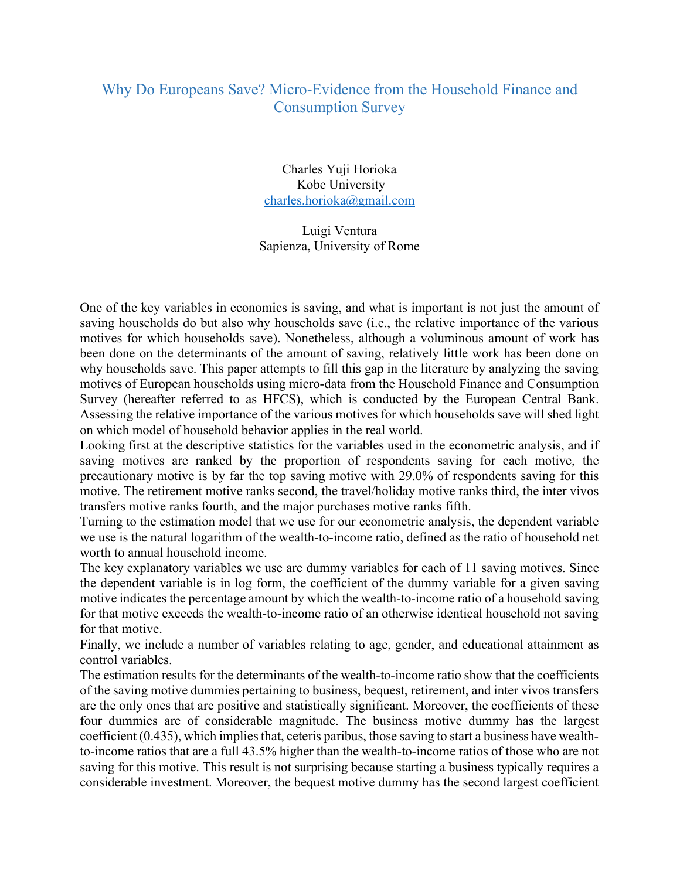## Why Do Europeans Save? Micro-Evidence from the Household Finance and Consumption Survey

Charles Yuji Horioka Kobe University charles.horioka@gmail.com

Luigi Ventura Sapienza, University of Rome

One of the key variables in economics is saving, and what is important is not just the amount of saving households do but also why households save (i.e., the relative importance of the various motives for which households save). Nonetheless, although a voluminous amount of work has been done on the determinants of the amount of saving, relatively little work has been done on why households save. This paper attempts to fill this gap in the literature by analyzing the saving motives of European households using micro-data from the Household Finance and Consumption Survey (hereafter referred to as HFCS), which is conducted by the European Central Bank. Assessing the relative importance of the various motives for which households save will shed light on which model of household behavior applies in the real world.

Looking first at the descriptive statistics for the variables used in the econometric analysis, and if saving motives are ranked by the proportion of respondents saving for each motive, the precautionary motive is by far the top saving motive with 29.0% of respondents saving for this motive. The retirement motive ranks second, the travel/holiday motive ranks third, the inter vivos transfers motive ranks fourth, and the major purchases motive ranks fifth.

Turning to the estimation model that we use for our econometric analysis, the dependent variable we use is the natural logarithm of the wealth-to-income ratio, defined as the ratio of household net worth to annual household income.

The key explanatory variables we use are dummy variables for each of 11 saving motives. Since the dependent variable is in log form, the coefficient of the dummy variable for a given saving motive indicates the percentage amount by which the wealth-to-income ratio of a household saving for that motive exceeds the wealth-to-income ratio of an otherwise identical household not saving for that motive.

Finally, we include a number of variables relating to age, gender, and educational attainment as control variables.

The estimation results for the determinants of the wealth-to-income ratio show that the coefficients of the saving motive dummies pertaining to business, bequest, retirement, and inter vivos transfers are the only ones that are positive and statistically significant. Moreover, the coefficients of these four dummies are of considerable magnitude. The business motive dummy has the largest coefficient (0.435), which implies that, ceteris paribus, those saving to start a business have wealthto-income ratios that are a full 43.5% higher than the wealth-to-income ratios of those who are not saving for this motive. This result is not surprising because starting a business typically requires a considerable investment. Moreover, the bequest motive dummy has the second largest coefficient